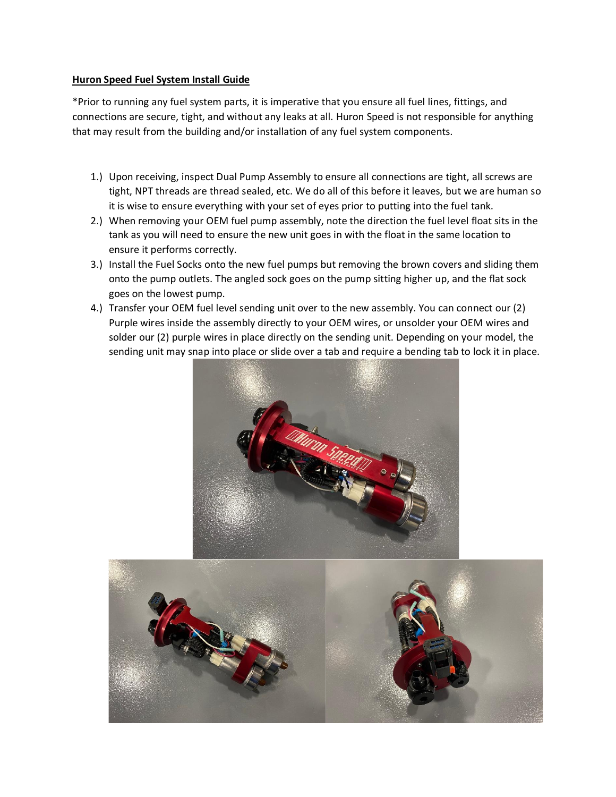## **Huron Speed Fuel System Install Guide**

\*Prior to running any fuel system parts, it is imperative that you ensure all fuel lines, fittings, and connections are secure, tight, and without any leaks at all. Huron Speed is not responsible for anything that may result from the building and/or installation of any fuel system components.

- 1.) Upon receiving, inspect Dual Pump Assembly to ensure all connections are tight, all screws are tight, NPT threads are thread sealed, etc. We do all of this before it leaves, but we are human so it is wise to ensure everything with your set of eyes prior to putting into the fuel tank.
- 2.) When removing your OEM fuel pump assembly, note the direction the fuel level float sits in the tank as you will need to ensure the new unit goes in with the float in the same location to ensure it performs correctly.
- 3.) Install the Fuel Socks onto the new fuel pumps but removing the brown covers and sliding them onto the pump outlets. The angled sock goes on the pump sitting higher up, and the flat sock goes on the lowest pump.
- 4.) Transfer your OEM fuel level sending unit over to the new assembly. You can connect our (2) Purple wires inside the assembly directly to your OEM wires, or unsolder your OEM wires and solder our (2) purple wires in place directly on the sending unit. Depending on your model, the sending unit may snap into place or slide over a tab and require a bending tab to lock it in place.



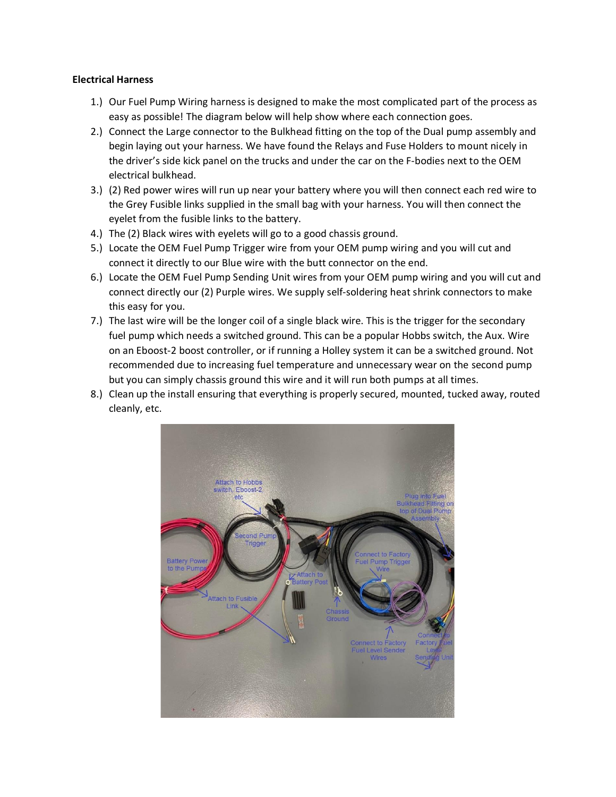## **Electrical Harness**

- 1.) Our Fuel Pump Wiring harness is designed to make the most complicated part of the process as easy as possible! The diagram below will help show where each connection goes.
- 2.) Connect the Large connector to the Bulkhead fitting on the top of the Dual pump assembly and begin laying out your harness. We have found the Relays and Fuse Holders to mount nicely in the driver's side kick panel on the trucks and under the car on the F-bodies next to the OEM electrical bulkhead.
- 3.) (2) Red power wires will run up near your battery where you will then connect each red wire to the Grey Fusible links supplied in the small bag with your harness. You will then connect the eyelet from the fusible links to the battery.
- 4.) The (2) Black wires with eyelets will go to a good chassis ground.
- 5.) Locate the OEM Fuel Pump Trigger wire from your OEM pump wiring and you will cut and connect it directly to our Blue wire with the butt connector on the end.
- 6.) Locate the OEM Fuel Pump Sending Unit wires from your OEM pump wiring and you will cut and connect directly our (2) Purple wires. We supply self-soldering heat shrink connectors to make this easy for you.
- 7.) The last wire will be the longer coil of a single black wire. This is the trigger for the secondary fuel pump which needs a switched ground. This can be a popular Hobbs switch, the Aux. Wire on an Eboost-2 boost controller, or if running a Holley system it can be a switched ground. Not recommended due to increasing fuel temperature and unnecessary wear on the second pump but you can simply chassis ground this wire and it will run both pumps at all times.
- 8.) Clean up the install ensuring that everything is properly secured, mounted, tucked away, routed cleanly, etc.

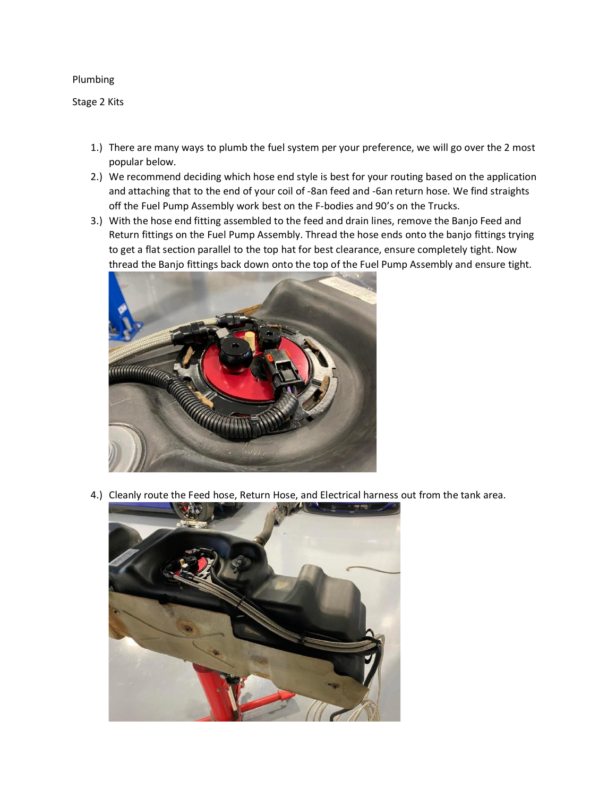## Plumbing

Stage 2 Kits

- 1.) There are many ways to plumb the fuel system per your preference, we will go over the 2 most popular below.
- 2.) We recommend deciding which hose end style is best for your routing based on the application and attaching that to the end of your coil of -8an feed and -6an return hose. We find straights off the Fuel Pump Assembly work best on the F-bodies and 90's on the Trucks.
- 3.) With the hose end fitting assembled to the feed and drain lines, remove the Banjo Feed and Return fittings on the Fuel Pump Assembly. Thread the hose ends onto the banjo fittings trying to get a flat section parallel to the top hat for best clearance, ensure completely tight. Now thread the Banjo fittings back down onto the top of the Fuel Pump Assembly and ensure tight.



4.) Cleanly route the Feed hose, Return Hose, and Electrical harness out from the tank area.

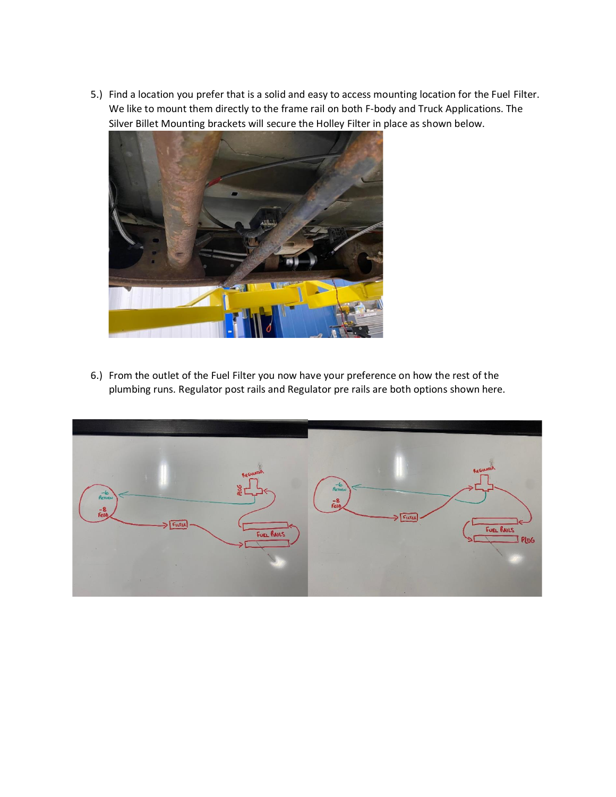5.) Find a location you prefer that is a solid and easy to access mounting location for the Fuel Filter. We like to mount them directly to the frame rail on both F-body and Truck Applications. The Silver Billet Mounting brackets will secure the Holley Filter in place as shown below.



6.) From the outlet of the Fuel Filter you now have your preference on how the rest of the plumbing runs. Regulator post rails and Regulator pre rails are both options shown here.